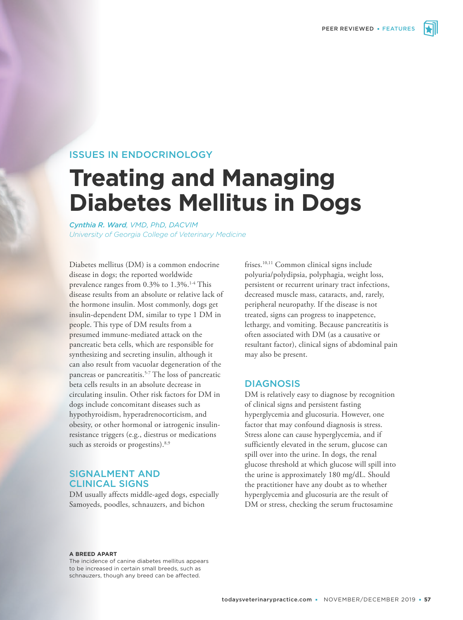

# ISSUES IN ENDOCRINOLOGY

# **Treating and Managing Diabetes Mellitus in Dogs**

*Cynthia R. Ward, VMD, PhD, DACVIM University of Georgia College of Veterinary Medicine*

Diabetes mellitus (DM) is a common endocrine disease in dogs; the reported worldwide prevalence ranges from 0.3% to 1.3%.<sup>1-4</sup> This disease results from an absolute or relative lack of the hormone insulin. Most commonly, dogs get insulin-dependent DM, similar to type 1 DM in people. This type of DM results from a presumed immune-mediated attack on the pancreatic beta cells, which are responsible for synthesizing and secreting insulin, although it can also result from vacuolar degeneration of the pancreas or pancreatitis.<sup>5-7</sup> The loss of pancreatic beta cells results in an absolute decrease in circulating insulin. Other risk factors for DM in dogs include concomitant diseases such as hypothyroidism, hyperadrenocorticism, and obesity, or other hormonal or iatrogenic insulinresistance triggers (e.g., diestrus or medications such as steroids or progestins).<sup>8,9</sup>

# SIGNALMENT AND CLINICAL SIGNS

DM usually affects middle-aged dogs, especially Samoyeds, poodles, schnauzers, and bichon

frises.<sup>10,11</sup> Common clinical signs include polyuria/polydipsia, polyphagia, weight loss, persistent or recurrent urinary tract infections, decreased muscle mass, cataracts, and, rarely, peripheral neuropathy. If the disease is not treated, signs can progress to inappetence, lethargy, and vomiting. Because pancreatitis is often associated with DM (as a causative or resultant factor), clinical signs of abdominal pain may also be present.

## DIAGNOSIS

DM is relatively easy to diagnose by recognition of clinical signs and persistent fasting hyperglycemia and glucosuria. However, one factor that may confound diagnosis is stress. Stress alone can cause hyperglycemia, and if sufficiently elevated in the serum, glucose can spill over into the urine. In dogs, the renal glucose threshold at which glucose will spill into the urine is approximately 180 mg/dL. Should the practitioner have any doubt as to whether hyperglycemia and glucosuria are the result of DM or stress, checking the serum fructosamine

#### **A BREED APART**

The incidence of canine diabetes mellitus appears to be increased in certain small breeds, such as schnauzers, though any breed can be affected.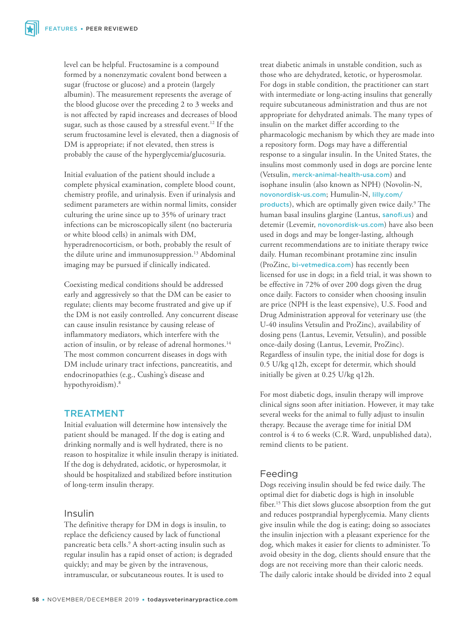level can be helpful. Fructosamine is a compound formed by a nonenzymatic covalent bond between a sugar (fructose or glucose) and a protein (largely albumin). The measurement represents the average of the blood glucose over the preceding 2 to 3 weeks and is not affected by rapid increases and decreases of blood sugar, such as those caused by a stressful event.<sup>12</sup> If the serum fructosamine level is elevated, then a diagnosis of DM is appropriate; if not elevated, then stress is probably the cause of the hyperglycemia/glucosuria.

Initial evaluation of the patient should include a complete physical examination, complete blood count, chemistry profile, and urinalysis. Even if urinalysis and sediment parameters are within normal limits, consider culturing the urine since up to 35% of urinary tract infections can be microscopically silent (no bacteruria or white blood cells) in animals with DM, hyperadrenocorticism, or both, probably the result of the dilute urine and immunosuppression.<sup>13</sup> Abdominal imaging may be pursued if clinically indicated.

Coexisting medical conditions should be addressed early and aggressively so that the DM can be easier to regulate; clients may become frustrated and give up if the DM is not easily controlled. Any concurrent disease can cause insulin resistance by causing release of inflammatory mediators, which interfere with the action of insulin, or by release of adrenal hormones.<sup>14</sup> The most common concurrent diseases in dogs with DM include urinary tract infections, pancreatitis, and endocrinopathies (e.g., Cushing's disease and hypothyroidism).<sup>8</sup>

## TREATMENT

Initial evaluation will determine how intensively the patient should be managed. If the dog is eating and drinking normally and is well hydrated, there is no reason to hospitalize it while insulin therapy is initiated. If the dog is dehydrated, acidotic, or hyperosmolar, it should be hospitalized and stabilized before institution of long-term insulin therapy.

## Insulin

The definitive therapy for DM in dogs is insulin, to replace the deficiency caused by lack of functional pancreatic beta cells.<sup>9</sup> A short-acting insulin such as regular insulin has a rapid onset of action; is degraded quickly; and may be given by the intravenous, intramuscular, or subcutaneous routes. It is used to

treat diabetic animals in unstable condition, such as those who are dehydrated, ketotic, or hyperosmolar. For dogs in stable condition, the practitioner can start with intermediate or long-acting insulins that generally require subcutaneous administration and thus are not appropriate for dehydrated animals. The many types of insulin on the market differ according to the pharmacologic mechanism by which they are made into a repository form. Dogs may have a differential response to a singular insulin. In the United States, the insulins most commonly used in dogs are porcine lente (Vetsulin, [merck-animal-health-usa.com](https://www.merck-animal-health-usa.com/vetsulin)) and isophane insulin (also known as NPH) (Novolin-N, [novonordisk-us.com](https://www.novonordisk-us.com/); Humulin-N, [lilly.com/](https://www.lilly.com/products) [products](https://www.lilly.com/products)), which are optimally given twice daily.<sup>9</sup> The human basal insulins glargine (Lantus, [sanofi.us](https://www.sanofi.us/)) and detemir (Levemir, novonordisk-us.com) have also been used in dogs and may be longer-lasting, although current recommendations are to initiate therapy twice daily. Human recombinant protamine zinc insulin (ProZinc, bi-vetmedica.com) has recently been licensed for use in dogs; in a field trial, it was shown to be effective in 72% of over 200 dogs given the drug once daily. Factors to consider when choosing insulin are price (NPH is the least expensive), U.S. Food and Drug Administration approval for veterinary use (the U-40 insulins Vetsulin and ProZinc), availability of dosing pens (Lantus, Levemir, Vetsulin), and possible once-daily dosing (Lantus, Levemir, ProZinc). Regardless of insulin type, the initial dose for dogs is 0.5 U/kg q12h, except for determir, which should initially be given at 0.25 U/kg q12h.

For most diabetic dogs, insulin therapy will improve clinical signs soon after initiation. However, it may take several weeks for the animal to fully adjust to insulin therapy. Because the average time for initial DM control is 4 to 6 weeks (C.R. Ward, unpublished data), remind clients to be patient.

# Feeding

Dogs receiving insulin should be fed twice daily. The optimal diet for diabetic dogs is high in insoluble fiber.<sup>15</sup> This diet slows glucose absorption from the gut and reduces postprandial hyperglycemia. Many clients give insulin while the dog is eating; doing so associates the insulin injection with a pleasant experience for the dog, which makes it easier for clients to administer. To avoid obesity in the dog, clients should ensure that the dogs are not receiving more than their caloric needs. The daily caloric intake should be divided into 2 equal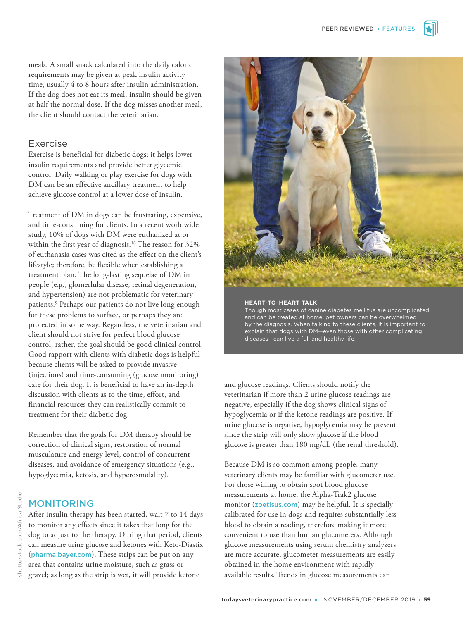meals. A small snack calculated into the daily caloric requirements may be given at peak insulin activity time, usually 4 to 8 hours after insulin administration. If the dog does not eat its meal, insulin should be given at half the normal dose. If the dog misses another meal, the client should contact the veterinarian.

# Exercise

Exercise is beneficial for diabetic dogs; it helps lower insulin requirements and provide better glycemic control. Daily walking or play exercise for dogs with DM can be an effective ancillary treatment to help achieve glucose control at a lower dose of insulin.

Treatment of DM in dogs can be frustrating, expensive, and time-consuming for clients. In a recent worldwide study, 10% of dogs with DM were euthanized at or within the first year of diagnosis.<sup>16</sup> The reason for 32% of euthanasia cases was cited as the effect on the client's lifestyle; therefore, be flexible when establishing a treatment plan. The long-lasting sequelae of DM in people (e.g., glomerlular disease, retinal degeneration, and hypertension) are not problematic for veterinary patients.<sup>9</sup> Perhaps our patients do not live long enough for these problems to surface, or perhaps they are protected in some way. Regardless, the veterinarian and client should not strive for perfect blood glucose control; rather, the goal should be good clinical control. Good rapport with clients with diabetic dogs is helpful because clients will be asked to provide invasive (injections) and time-consuming (glucose monitoring) care for their dog. It is beneficial to have an in-depth discussion with clients as to the time, effort, and financial resources they can realistically commit to treatment for their diabetic dog.

Remember that the goals for DM therapy should be correction of clinical signs, restoration of normal musculature and energy level, control of concurrent diseases, and avoidance of emergency situations (e.g., hypoglycemia, ketosis, and hyperosmolality).

# MONITORING

After insulin therapy has been started, wait 7 to 14 days to monitor any effects since it takes that long for the dog to adjust to the therapy. During that period, clients can measure urine glucose and ketones with Keto-Diastix (pharma.bayer.com). These strips can be put on any area that contains urine moisture, such as grass or gravel; as long as the strip is wet, it will provide ketone



#### **HEART-TO-HEART TALK**

Though most cases of canine diabetes mellitus are uncomplicated and can be treated at home, pet owners can be overwhelmed by the diagnosis. When talking to these clients, it is important to explain that dogs with DM—even those with other complicating diseases—can live a full and healthy life.

and glucose readings. Clients should notify the veterinarian if more than 2 urine glucose readings are negative, especially if the dog shows clinical signs of hypoglycemia or if the ketone readings are positive. If urine glucose is negative, hypoglycemia may be present since the strip will only show glucose if the blood glucose is greater than 180 mg/dL (the renal threshold).

Because DM is so common among people, many veterinary clients may be familiar with glucometer use. For those willing to obtain spot blood glucose measurements at home, the Alpha-Trak2 glucose monitor (zoetisus.com) may be helpful. It is specially calibrated for use in dogs and requires substantially less blood to obtain a reading, therefore making it more convenient to use than human glucometers. Although glucose measurements using serum chemistry analyzers are more accurate, glucometer measurements are easily obtained in the home environment with rapidly available results. Trends in glucose measurements can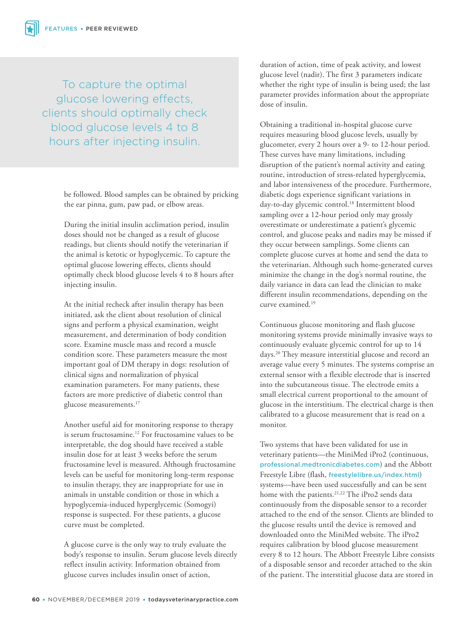To capture the optimal glucose lowering effects, clients should optimally check blood glucose levels 4 to 8 hours after injecting insulin.

> be followed. Blood samples can be obtained by pricking the ear pinna, gum, paw pad, or elbow areas.

During the initial insulin acclimation period, insulin doses should not be changed as a result of glucose readings, but clients should notify the veterinarian if the animal is ketotic or hypoglycemic. To capture the optimal glucose lowering effects, clients should optimally check blood glucose levels 4 to 8 hours after injecting insulin.

At the initial recheck after insulin therapy has been initiated, ask the client about resolution of clinical signs and perform a physical examination, weight measurement, and determination of body condition score. Examine muscle mass and record a muscle condition score. These parameters measure the most important goal of DM therapy in dogs: resolution of clinical signs and normalization of physical examination parameters. For many patients, these factors are more predictive of diabetic control than glucose measurements.<sup>17</sup>

Another useful aid for monitoring response to therapy is serum fructosamine.<sup>12</sup> For fructosamine values to be interpretable, the dog should have received a stable insulin dose for at least 3 weeks before the serum fructosamine level is measured. Although fructosamine levels can be useful for monitoring long-term response to insulin therapy, they are inappropriate for use in animals in unstable condition or those in which a hypoglycemia-induced hyperglycemic (Somogyi) response is suspected. For these patients, a glucose curve must be completed.

A glucose curve is the only way to truly evaluate the body's response to insulin. Serum glucose levels directly reflect insulin activity. Information obtained from glucose curves includes insulin onset of action,

duration of action, time of peak activity, and lowest glucose level (nadir). The first 3 parameters indicate whether the right type of insulin is being used; the last parameter provides information about the appropriate dose of insulin.

Obtaining a traditional in-hospital glucose curve requires measuring blood glucose levels, usually by glucometer, every 2 hours over a 9- to 12-hour period. These curves have many limitations, including disruption of the patient's normal activity and eating routine, introduction of stress-related hyperglycemia, and labor intensiveness of the procedure. Furthermore, diabetic dogs experience significant variations in day-to-day glycemic control.<sup>18</sup> Intermittent blood sampling over a 12-hour period only may grossly overestimate or underestimate a patient's glycemic control, and glucose peaks and nadirs may be missed if they occur between samplings. Some clients can complete glucose curves at home and send the data to the veterinarian. Although such home-generated curves minimize the change in the dog's normal routine, the daily variance in data can lead the clinician to make different insulin recommendations, depending on the curve examined.<sup>19</sup>

Continuous glucose monitoring and flash glucose monitoring systems provide minimally invasive ways to continuously evaluate glycemic control for up to 14 days.<sup>20</sup> They measure interstitial glucose and record an average value every 5 minutes. The systems comprise an external sensor with a flexible electrode that is inserted into the subcutaneous tissue. The electrode emits a small electrical current proportional to the amount of glucose in the interstitium. The electrical charge is then calibrated to a glucose measurement that is read on a monitor.

Two systems that have been validated for use in veterinary patients—the MiniMed iPro2 (continuous, professional.medtronicdiabetes.com) and the Abbott Freestyle Libre (flash, freestylelibre.us/index.html) systems—have been used successfully and can be sent home with the patients.<sup>21,22</sup> The iPro2 sends data continuously from the disposable sensor to a recorder attached to the end of the sensor. Clients are blinded to the glucose results until the device is removed and downloaded onto the MiniMed website. The iPro2 requires calibration by blood glucose measurement every 8 to 12 hours. The Abbott Freestyle Libre consists of a disposable sensor and recorder attached to the skin of the patient. The interstitial glucose data are stored in